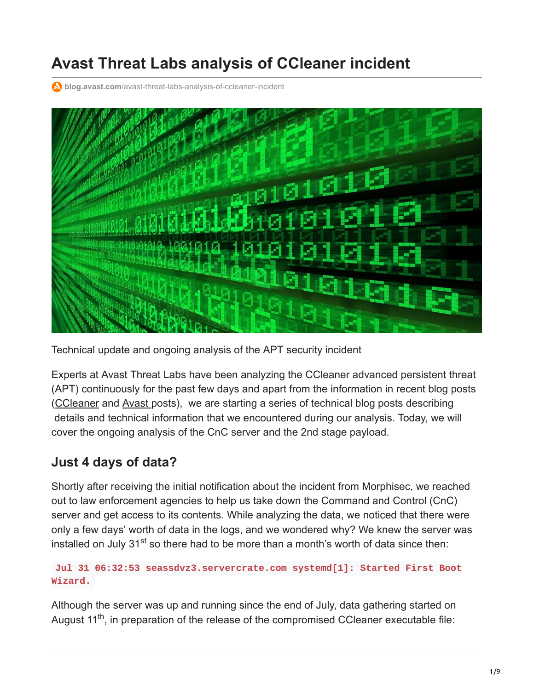# **Avast Threat Labs analysis of CCleaner incident**

**blog.avast.com**[/avast-threat-labs-analysis-of-ccleaner-incident](https://blog.avast.com/avast-threat-labs-analysis-of-ccleaner-incident)



Technical update and ongoing analysis of the APT security incident

Experts at Avast Threat Labs have been analyzing the CCleaner advanced persistent threat (APT) continuously for the past few days and apart from the information in recent blog posts ([CCleaner](https://www.ccleaner.com/news/blog/2017/9/18/security-notification-for-ccleaner-v5336162-and-ccleaner-cloud-v1073191-for-32-bit-windows-users) and [Avast](https://blog.avast.com/progress-on-ccleaner-investigation) posts), we are starting a series of technical blog posts describing details and technical information that we encountered during our analysis. Today, we will cover the ongoing analysis of the CnC server and the 2nd stage payload.

#### **Just 4 days of data?**

Shortly after receiving the initial notification about the incident from Morphisec, we reached out to law enforcement agencies to help us take down the Command and Control (CnC) server and get access to its contents. While analyzing the data, we noticed that there were only a few days' worth of data in the logs, and we wondered why? We knew the server was installed on July 31<sup>st</sup> so there had to be more than a month's worth of data since then:

#### **Jul 31 06:32:53 seassdvz3.servercrate.com systemd[1]: Started First Boot Wizard.**

Although the server was up and running since the end of July, data gathering started on August 11<sup>th</sup>, in preparation of the release of the compromised CCleaner executable file: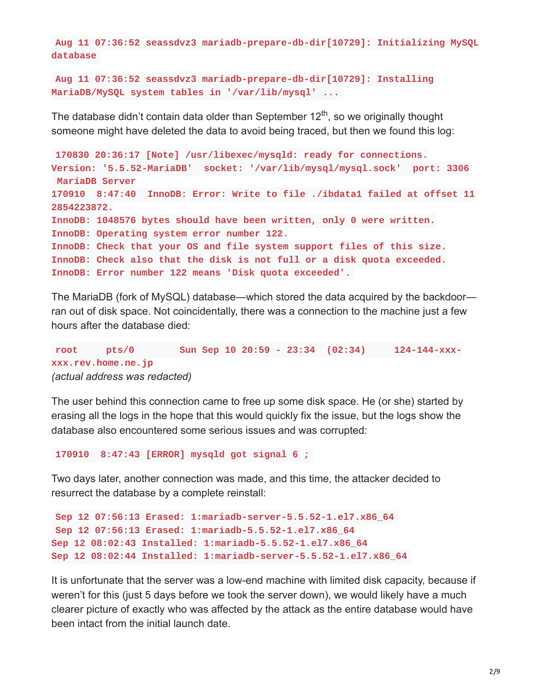**Aug 11 07:36:52 seassdvz3 mariadb-prepare-db-dir[10729]: Initializing MySQL database**

**Aug 11 07:36:52 seassdvz3 mariadb-prepare-db-dir[10729]: Installing MariaDB/MySQL system tables in '/var/lib/mysql' ...**

The database didn't contain data older than September 12<sup>th</sup>, so we originally thought someone might have deleted the data to avoid being traced, but then we found this log:

```
170830 20:36:17 [Note] /usr/libexec/mysqld: ready for connections.
Version: '5.5.52-MariaDB' socket: '/var/lib/mysql/mysql.sock' port: 3306
MariaDB Server
170910 8:47:40 InnoDB: Error: Write to file ./ibdata1 failed at offset 11
2854223872.
InnoDB: 1048576 bytes should have been written, only 0 were written.
InnoDB: Operating system error number 122.
InnoDB: Check that your OS and file system support files of this size.
InnoDB: Check also that the disk is not full or a disk quota exceeded.
InnoDB: Error number 122 means 'Disk quota exceeded'.
```
The MariaDB (fork of MySQL) database—which stored the data acquired by the backdoor ran out of disk space. Not coincidentally, there was a connection to the machine just a few hours after the database died:

**root pts/0 Sun Sep 10 20:59 - 23:34 (02:34) 124-144-xxxxxx.rev.home.ne.jp** *(actual address was redacted)*

The user behind this connection came to free up some disk space. He (or she) started by erasing all the logs in the hope that this would quickly fix the issue, but the logs show the database also encountered some serious issues and was corrupted:

**170910 8:47:43 [ERROR] mysqld got signal 6 ;**

Two days later, another connection was made, and this time, the attacker decided to resurrect the database by a complete reinstall:

```
Sep 12 07:56:13 Erased: 1:mariadb-server-5.5.52-1.el7.x86_64
Sep 12 07:56:13 Erased: 1:mariadb-5.5.52-1.el7.x86_64
Sep 12 08:02:43 Installed: 1:mariadb-5.5.52-1.el7.x86_64
Sep 12 08:02:44 Installed: 1:mariadb-server-5.5.52-1.el7.x86_64
```
It is unfortunate that the server was a low-end machine with limited disk capacity, because if weren't for this (just 5 days before we took the server down), we would likely have a much clearer picture of exactly who was affected by the attack as the entire database would have been intact from the initial launch date.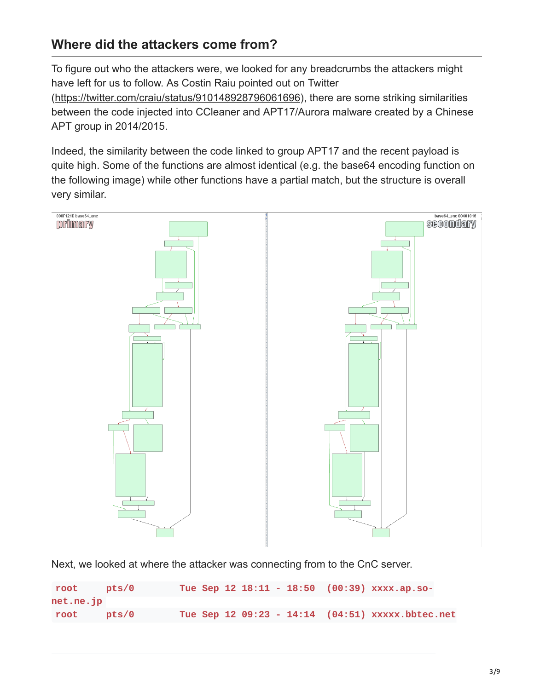#### **Where did the attackers come from?**

To figure out who the attackers were, we looked for any breadcrumbs the attackers might have left for us to follow. As Costin Raiu pointed out on Twitter

(<https://twitter.com/craiu/status/910148928796061696>), there are some striking similarities between the code injected into CCleaner and APT17/Aurora malware created by a Chinese APT group in 2014/2015.

Indeed, the similarity between the code linked to group APT17 and the recent payload is quite high. Some of the functions are almost identical (e.g. the base64 encoding function on the following image) while other functions have a partial match, but the structure is overall very similar.



Next, we looked at where the attacker was connecting from to the CnC server.

| root             | pts/0 |  |  |  | Tue Sep 12 18:11 - 18:50 (00:39) xxxx.ap.so-     |  |
|------------------|-------|--|--|--|--------------------------------------------------|--|
| $net.net$ . $ip$ |       |  |  |  |                                                  |  |
| root pts/0       |       |  |  |  | Tue Sep 12 09:23 - 14:14 (04:51) XXXXX.bbtec.net |  |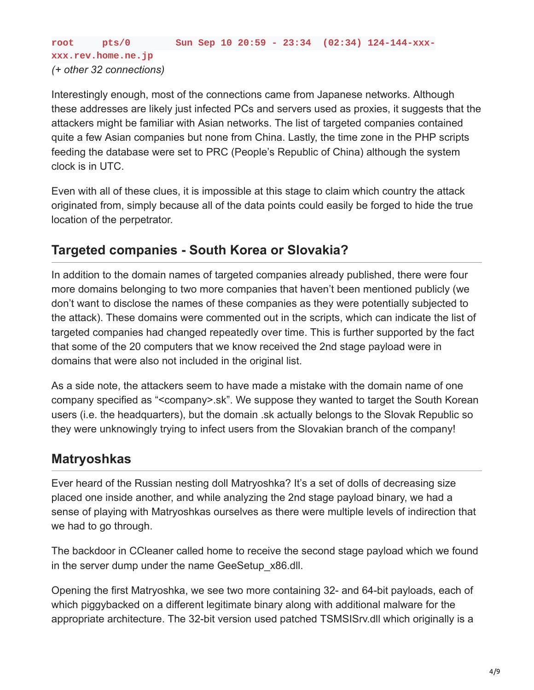**xxx.rev.home.ne.jp** *(+ other 32 connections)*

Interestingly enough, most of the connections came from Japanese networks. Although these addresses are likely just infected PCs and servers used as proxies, it suggests that the attackers might be familiar with Asian networks. The list of targeted companies contained quite a few Asian companies but none from China. Lastly, the time zone in the PHP scripts feeding the database were set to PRC (People's Republic of China) although the system clock is in UTC.

Even with all of these clues, it is impossible at this stage to claim which country the attack originated from, simply because all of the data points could easily be forged to hide the true location of the perpetrator.

#### **Targeted companies - South Korea or Slovakia?**

In addition to the domain names of targeted companies already published, there were four more domains belonging to two more companies that haven't been mentioned publicly (we don't want to disclose the names of these companies as they were potentially subjected to the attack). These domains were commented out in the scripts, which can indicate the list of targeted companies had changed repeatedly over time. This is further supported by the fact that some of the 20 computers that we know received the 2nd stage payload were in domains that were also not included in the original list.

As a side note, the attackers seem to have made a mistake with the domain name of one company specified as "<company>.sk". We suppose they wanted to target the South Korean users (i.e. the headquarters), but the domain .sk actually belongs to the Slovak Republic so they were unknowingly trying to infect users from the Slovakian branch of the company!

#### **Matryoshkas**

Ever heard of the Russian nesting doll Matryoshka? It's a set of dolls of decreasing size placed one inside another, and while analyzing the 2nd stage payload binary, we had a sense of playing with Matryoshkas ourselves as there were multiple levels of indirection that we had to go through.

The backdoor in CCleaner called home to receive the second stage payload which we found in the server dump under the name GeeSetup x86.dll.

Opening the first Matryoshka, we see two more containing 32- and 64-bit payloads, each of which piggybacked on a different legitimate binary along with additional malware for the appropriate architecture. The 32-bit version used patched TSMSISrv.dll which originally is a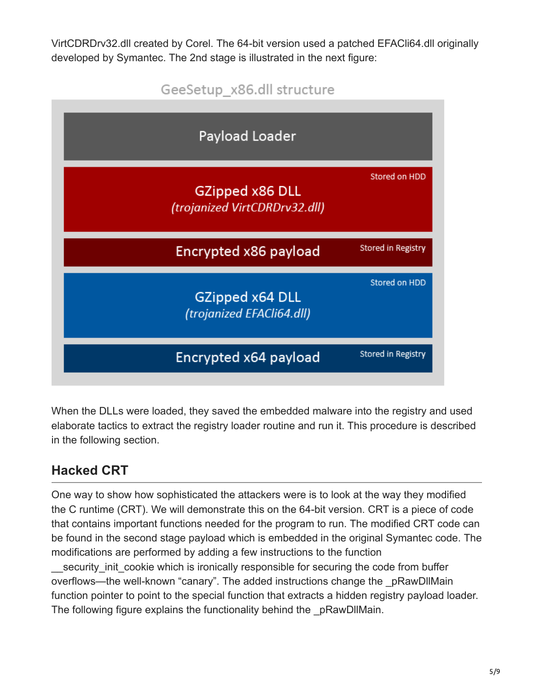VirtCDRDrv32.dll created by Corel. The 64-bit version used a patched EFACli64.dll originally developed by Symantec. The 2nd stage is illustrated in the next figure:



When the DLLs were loaded, they saved the embedded malware into the registry and used elaborate tactics to extract the registry loader routine and run it. This procedure is described in the following section.

## **Hacked CRT**

One way to show how sophisticated the attackers were is to look at the way they modified the C runtime (CRT). We will demonstrate this on the 64-bit version. CRT is a piece of code that contains important functions needed for the program to run. The modified CRT code can be found in the second stage payload which is embedded in the original Symantec code. The modifications are performed by adding a few instructions to the function

security init cookie which is ironically responsible for securing the code from buffer overflows—the well-known "canary". The added instructions change the \_pRawDllMain function pointer to point to the special function that extracts a hidden registry payload loader. The following figure explains the functionality behind the pRawDllMain.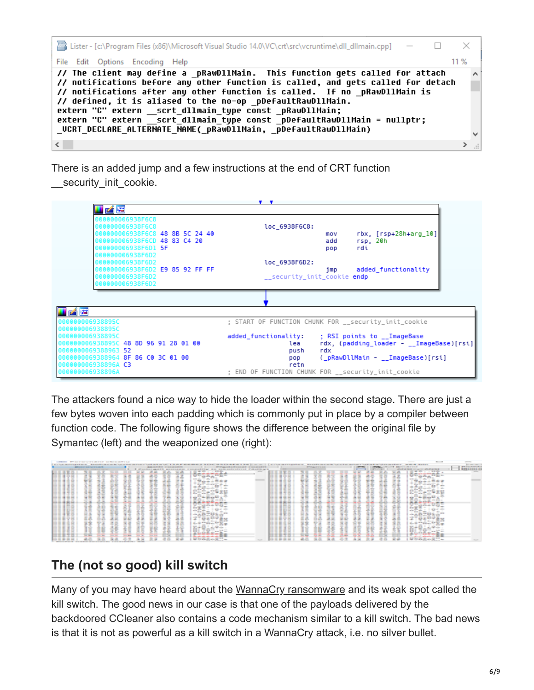

There is an added jump and a few instructions at the end of CRT function

security init cookie.

|                                                     | $\mathbf{v}$ .                                              |
|-----------------------------------------------------|-------------------------------------------------------------|
| 凶降                                                  |                                                             |
| 000000006938F6C8                                    |                                                             |
| 000000006938F6C8                                    | loc_6938F6C8:                                               |
| 0000000006938F6C8 48 8B 5C 24 40                    | $rbx$ , $[rsp+28h+arg_10]$<br>mov                           |
| 000000006938F6CD 48 83 C4 20                        | add<br>rsp, 20h                                             |
| 000000006938F6D1 <b>5F</b>                          | rdi<br>pop                                                  |
| 000000006938F6D2                                    |                                                             |
| 000000006938F6D2                                    | loc 6938F6D2:                                               |
| 000000006938F6D2 E9 85 92 FF FF<br>000000006938F6D2 | added functionality<br>imp                                  |
| 000000006938F6D2                                    | security init cookie endp                                   |
|                                                     |                                                             |
|                                                     |                                                             |
|                                                     |                                                             |
| 子尾                                                  |                                                             |
| 000000006938895C                                    | ; START OF FUNCTION CHUNK FOR __ security_init_cookie       |
| 000000006938895C                                    |                                                             |
| 000000006938895C                                    | added_functionality:<br>: RSI points to __ ImageBase        |
| 0000000006938895C 48 8D 96 91 28 01 00              | rdx, (padding_loader - __ImageBase)[rsi]<br>lea             |
| 0000000069388963 52                                 | rdx<br>push                                                 |
|                                                     |                                                             |
| 00000000069388964 <b>8F 86 C0 3C 01 00</b>          | ( pRawDllMain - __ImageBase)[rsi]<br>pop                    |
| 000000006938896A C3<br>000000006938896A             | retn<br>; END OF FUNCTION CHUNK FOR __ security_init_cookie |

The attackers found a nice way to hide the loader within the second stage. There are just a few bytes woven into each padding which is commonly put in place by a compiler between function code. The following figure shows the difference between the original file by Symantec (left) and the weaponized one (right):

| company's affirmed and company's director and conditions are finance. |                                                                                                                                                                                                                                      |                |                                                                                      |                                                                                                                                             |                  |                                              |                |                                        |                                                                                                                                                                                                                                                                                                                                                                                                                                                                            |                   |                                         |  |                                                                                                                                                                                                                                |                                |                                          |                      |                  |                                                  |                                                                            |                                                                                                      |                                                                                                                                                                                                                                                                                                                                                                                                                                                | -                                                                                                                         | $-1$                                                           |                                    |
|-----------------------------------------------------------------------|--------------------------------------------------------------------------------------------------------------------------------------------------------------------------------------------------------------------------------------|----------------|--------------------------------------------------------------------------------------|---------------------------------------------------------------------------------------------------------------------------------------------|------------------|----------------------------------------------|----------------|----------------------------------------|----------------------------------------------------------------------------------------------------------------------------------------------------------------------------------------------------------------------------------------------------------------------------------------------------------------------------------------------------------------------------------------------------------------------------------------------------------------------------|-------------------|-----------------------------------------|--|--------------------------------------------------------------------------------------------------------------------------------------------------------------------------------------------------------------------------------|--------------------------------|------------------------------------------|----------------------|------------------|--------------------------------------------------|----------------------------------------------------------------------------|------------------------------------------------------------------------------------------------------|------------------------------------------------------------------------------------------------------------------------------------------------------------------------------------------------------------------------------------------------------------------------------------------------------------------------------------------------------------------------------------------------------------------------------------------------|---------------------------------------------------------------------------------------------------------------------------|----------------------------------------------------------------|------------------------------------|
|                                                                       |                                                                                                                                                                                                                                      |                |                                                                                      |                                                                                                                                             |                  |                                              |                |                                        |                                                                                                                                                                                                                                                                                                                                                                                                                                                                            |                   |                                         |  | changements to construct the construction of the series of the second of the series and in the first of the acceptance to construct the acceptance of the series of the series of the series of the series of the series of th |                                |                                          |                      |                  |                                                  |                                                                            |                                                                                                      |                                                                                                                                                                                                                                                                                                                                                                                                                                                |                                                                                                                           |                                                                | Commercial Commercial              |
|                                                                       | <b>All records and construction and All</b>                                                                                                                                                                                          |                |                                                                                      |                                                                                                                                             |                  | <b>All Monte A. M. M. Concert Associated</b> |                |                                        |                                                                                                                                                                                                                                                                                                                                                                                                                                                                            |                   | <b>Willace An Announce In commental</b> |  |                                                                                                                                                                                                                                |                                | <b>Mill All age of the location</b>      |                      |                  |                                                  |                                                                            |                                                                                                      | <b>Electric Management Council</b>                                                                                                                                                                                                                                                                                                                                                                                                             |                                                                                                                           |                                                                | <b>WHEN IN THE COMPANY PRODUCT</b> |
|                                                                       | <b>CONTINUES IN THE CONTINUES IN THE RESIDENCE OF A REPORT OF A STATE OF A REPORT OF A REPORT OF A REPORT OF A REPORT OF A REPORT OF A REPORT OF A REPORT OF A REPORT OF A REPORT OF A REPORT OF A REPORT OF A REPORT OF A REPOR</b> |                | THE R. P. LEWIS CO., LANSING, MICH. 49-14039-1-120-2<br><b>CONTRACTOR CONTRACTOR</b> |                                                                                                                                             |                  |                                              |                |                                        |                                                                                                                                                                                                                                                                                                                                                                                                                                                                            |                   |                                         |  |                                                                                                                                                                                                                                | painter and the paintings of   |                                          |                      |                  | -----                                            | <b>Brown Arts Artists Contact</b><br><b><i>Ridge and and the first</i></b> |                                                                                                      |                                                                                                                                                                                                                                                                                                                                                                                                                                                |                                                                                                                           |                                                                |                                    |
|                                                                       |                                                                                                                                                                                                                                      |                |                                                                                      |                                                                                                                                             |                  |                                              |                |                                        |                                                                                                                                                                                                                                                                                                                                                                                                                                                                            |                   |                                         |  |                                                                                                                                                                                                                                |                                |                                          |                      |                  |                                                  |                                                                            |                                                                                                      |                                                                                                                                                                                                                                                                                                                                                                                                                                                | <b>Service</b>                                                                                                            | $-114.05$                                                      |                                    |
|                                                                       |                                                                                                                                                                                                                                      |                |                                                                                      |                                                                                                                                             | --               | ____                                         | --             | --                                     |                                                                                                                                                                                                                                                                                                                                                                                                                                                                            | -                 |                                         |  |                                                                                                                                                                                                                                | -----                          | _____                                    |                      |                  |                                                  |                                                                            | ____                                                                                                 | ____                                                                                                                                                                                                                                                                                                                                                                                                                                           | and the property state and sufficient                                                                                     |                                                                |                                    |
|                                                                       | --                                                                                                                                                                                                                                   | -<br>-         | -                                                                                    | -                                                                                                                                           |                  | and the second con-                          | --             |                                        | the price to the top the fact that<br>the contract of the state.                                                                                                                                                                                                                                                                                                                                                                                                           | --                |                                         |  | ----<br>___<br>--                                                                                                                                                                                                              | --<br>-                        | --                                       | -                    | -<br>-           | -                                                | -                                                                          | -                                                                                                    | --                                                                                                                                                                                                                                                                                                                                                                                                                                             | the company of the second company                                                                                         | MARINE IN ART  MARINE MIX-<br>- -                              |                                    |
|                                                                       | $\overline{\phantom{a}}$<br>--                                                                                                                                                                                                       | __             | -<br><b>STATE OF THE OWNER.</b><br>--                                                | --                                                                                                                                          | --<br>--         | --                                           | $\cdots$<br>-- |                                        | <b>CONTRACTOR</b>                                                                                                                                                                                                                                                                                                                                                                                                                                                          |                   |                                         |  | ---                                                                                                                                                                                                                            | $\overline{\phantom{a}}$<br>-- | $\frac{1}{2}$<br>___                     | -<br><b>COLORADO</b> | --               | -<br>-                                           | --<br>--                                                                   | --<br>$\frac{1}{2} \left( \frac{1}{2} \right) \left( \frac{1}{2} \right) \left( \frac{1}{2} \right)$ | --<br>--                                                                                                                                                                                                                                                                                                                                                                                                                                       |                                                                                                                           | ---                                                            |                                    |
|                                                                       | <b>All Concessions</b><br>--<br>-                                                                                                                                                                                                    | $-$            | --<br>--<br>--<br>---                                                                | $-$<br>all the states                                                                                                                       | --<br>--         | $-$<br><b>CONTRACTOR</b>                     | --<br>--       | sentence or sales<br><b>STATE</b>      | $\sim$                                                                                                                                                                                                                                                                                                                                                                                                                                                                     | ----              |                                         |  | ------<br>---                                                                                                                                                                                                                  | <b>STATISTICS</b><br>--        | $\overline{\phantom{a}}$<br><b>STATE</b> | --<br>---            | -<br>--          | --<br><b>STATISTICS</b>                          | --<br>--                                                                   | --<br>--                                                                                             | --<br>--                                                                                                                                                                                                                                                                                                                                                                                                                                       | with any 11 when<br>$-$                                                                                                   | ---                                                            |                                    |
|                                                                       | --<br>--                                                                                                                                                                                                                             | $\sim$         | _____<br>--<br>--<br>-                                                               | -<br><b>College</b>                                                                                                                         | $-$<br>-<br>-    | --<br>--                                     | --<br>--       | ---                                    | --------                                                                                                                                                                                                                                                                                                                                                                                                                                                                   |                   |                                         |  | ---<br>--                                                                                                                                                                                                                      | $-$<br><b>Car Corp.</b>        | --<br>--                                 | --                   | --<br>--         | -<br>-                                           | --<br>--                                                                   | --<br>--                                                                                             | --<br>--                                                                                                                                                                                                                                                                                                                                                                                                                                       | $\frac{1}{2} \left( \frac{1}{2} \right) \left( \frac{1}{2} \right) \left( \frac{1}{2} \right) \left( \frac{1}{2} \right)$ | the age age of the state and                                   |                                    |
|                                                                       | --                                                                                                                                                                                                                                   | -              | --<br>$\sim$                                                                         | --                                                                                                                                          | --               | $-$<br>-<br>--                               | --<br>--       |                                        | With 12 Holly and 12                                                                                                                                                                                                                                                                                                                                                                                                                                                       |                   |                                         |  | --<br>--                                                                                                                                                                                                                       | --                             | -<br>$\sim$                              | --                   | --               | -<br>-                                           | --                                                                         | $\cdots$<br>--                                                                                       | --<br>--                                                                                                                                                                                                                                                                                                                                                                                                                                       | With 11 Holly Milk 11                                                                                                     | <b>College College</b>                                         |                                    |
|                                                                       |                                                                                                                                                                                                                                      |                | -                                                                                    |                                                                                                                                             |                  |                                              |                | $\overline{\phantom{a}}$               | distance of the                                                                                                                                                                                                                                                                                                                                                                                                                                                            | 22 5 40           |                                         |  |                                                                                                                                                                                                                                |                                |                                          | -                    | -                |                                                  |                                                                            |                                                                                                      |                                                                                                                                                                                                                                                                                                                                                                                                                                                | <b>County of Con-</b>                                                                                                     | $-$                                                            |                                    |
|                                                                       |                                                                                                                                                                                                                                      |                |                                                                                      |                                                                                                                                             |                  |                                              |                | <b>COLLEGE</b>                         | <b>Call and Call</b>                                                                                                                                                                                                                                                                                                                                                                                                                                                       | .                 |                                         |  |                                                                                                                                                                                                                                |                                | -                                        | __                   |                  |                                                  | -                                                                          |                                                                                                      |                                                                                                                                                                                                                                                                                                                                                                                                                                                | <b>Call country</b><br><b>STATE</b>                                                                                       |                                                                |                                    |
|                                                                       |                                                                                                                                                                                                                                      |                |                                                                                      |                                                                                                                                             |                  |                                              |                | <b>COMPANY</b>                         | (三) 华屋 史                                                                                                                                                                                                                                                                                                                                                                                                                                                                   |                   |                                         |  |                                                                                                                                                                                                                                | -                              |                                          | $-0.00$              |                  |                                                  | -                                                                          |                                                                                                      |                                                                                                                                                                                                                                                                                                                                                                                                                                                | and the state                                                                                                             | <b>LODER</b>                                                   |                                    |
|                                                                       | --<br>-<br>--                                                                                                                                                                                                                        | -              | $\cdots$                                                                             |                                                                                                                                             | <br>--           | -                                            | -<br>--        | --                                     | \$10 - \$10 - 100 - \$10 \$1                                                                                                                                                                                                                                                                                                                                                                                                                                               |                   |                                         |  | ---                                                                                                                                                                                                                            | -                              | --                                       | --<br>--             |                  |                                                  | -<br>--                                                                    |                                                                                                      | -<br>--                                                                                                                                                                                                                                                                                                                                                                                                                                        | --<br><b>MAN - MAN - MAN</b>                                                                                              | and the state                                                  |                                    |
|                                                                       | --<br>--<br>$-$                                                                                                                                                                                                                      | -              | $-$<br>-<br>$-$<br>--                                                                | -<br>--                                                                                                                                     | --<br>-<br>-     | <br>-<br>-                                   | --<br>---      | <b>COMPANY</b>                         | _____<br><b><i><u>ARCHITECT AND COMMUNISTIES</u></i></b>                                                                                                                                                                                                                                                                                                                                                                                                                   |                   |                                         |  | <br>---                                                                                                                                                                                                                        | --<br>$-$                      | --<br>--                                 | --<br>--             | $\sim$<br>-<br>- | -<br>$\sim$                                      | --<br>--                                                                   | --<br>--                                                                                             | ---                                                                                                                                                                                                                                                                                                                                                                                                                                            | $-$                                                                                                                       | _____<br>dealers, state of the first<br>--                     |                                    |
|                                                                       | --<br>--                                                                                                                                                                                                                             | -<br>__        | ---<br>--<br>--<br>--                                                                | --<br>--                                                                                                                                    | -<br>-<br>-<br>- | __                                           | --<br>--       |                                        | strike in their affiliation than 10.<br>the same of the same of the                                                                                                                                                                                                                                                                                                                                                                                                        |                   |                                         |  | ---<br>------                                                                                                                                                                                                                  | --<br>--                       | --<br>--                                 | --<br>--             | ---<br>$-$       | --<br>$\overline{\phantom{a}}$<br><b>Service</b> | --<br>-                                                                    | $-$<br>--                                                                                            | --<br>--                                                                                                                                                                                                                                                                                                                                                                                                                                       | strate in these patterns are three at                                                                                     |                                                                |                                    |
| ----                                                                  | and the second second<br>--                                                                                                                                                                                                          | $\cdots$<br>-  | --<br>--<br>--<br>--                                                                 | --<br>-                                                                                                                                     | --<br>--         | --<br>--                                     | --<br>--       |                                        | and at the set of the set of the set of the                                                                                                                                                                                                                                                                                                                                                                                                                                |                   |                                         |  | ------<br>and the control and control and                                                                                                                                                                                      | and the contract of<br>-<br>-  | $\cdots$<br>-                            | --                   | __<br>-          | -<br>$-$<br>-                                    | --<br>--                                                                   | --<br>--                                                                                             | $\cdots$<br>--                                                                                                                                                                                                                                                                                                                                                                                                                                 | they that they seek also                                                                                                  | and at the collection of the state of                          |                                    |
|                                                                       | ---                                                                                                                                                                                                                                  | ____           |                                                                                      |                                                                                                                                             |                  | _____                                        | -----          |                                        | <b>But the state with the</b><br>-------                                                                                                                                                                                                                                                                                                                                                                                                                                   | -                 |                                         |  | ---                                                                                                                                                                                                                            | ----                           | _____                                    |                      |                  |                                                  | ___                                                                        | _____                                                                                                | _____                                                                                                                                                                                                                                                                                                                                                                                                                                          |                                                                                                                           | --------                                                       |                                    |
| ---<br>---                                                            | --<br>. .                                                                                                                                                                                                                            | -              |                                                                                      | -                                                                                                                                           | --               | -<br>-<br>-                                  | --             | the state of the control of            | with at the sales. We'll sale at                                                                                                                                                                                                                                                                                                                                                                                                                                           | <b>CONTRACTOR</b> |                                         |  | ------<br>---                                                                                                                                                                                                                  | --                             | ٠                                        | --<br>--             |                  | -<br>-                                           | --                                                                         | -<br>--                                                                                              | --                                                                                                                                                                                                                                                                                                                                                                                                                                             | ÷                                                                                                                         | <b>BARBOTT OF THE STATE OF</b><br>with strike adds. Writing of |                                    |
|                                                                       | --                                                                                                                                                                                                                                   | -              | -                                                                                    |                                                                                                                                             |                  |                                              | --<br>--       | <b>STATISTICS</b>                      | $\frac{1}{2} \frac{1}{2} \frac{1}{2} \frac{1}{2} \frac{1}{2} \frac{1}{2} \frac{1}{2} \frac{1}{2} \frac{1}{2} \frac{1}{2} \frac{1}{2} \frac{1}{2} \frac{1}{2} \frac{1}{2} \frac{1}{2} \frac{1}{2} \frac{1}{2} \frac{1}{2} \frac{1}{2} \frac{1}{2} \frac{1}{2} \frac{1}{2} \frac{1}{2} \frac{1}{2} \frac{1}{2} \frac{1}{2} \frac{1}{2} \frac{1}{2} \frac{1}{2} \frac{1}{2} \frac{1}{2} \frac{$                                                                               |                   |                                         |  | ----                                                                                                                                                                                                                           | -<br>-                         | -<br>                                    | --                   |                  |                                                  |                                                                            | -                                                                                                    | $\frac{1}{2} \left( \frac{1}{2} \right) = \frac{1}{2} \left( \frac{1}{2} \right) = \frac{1}{2} \left( \frac{1}{2} \right) = \frac{1}{2} \left( \frac{1}{2} \right) = \frac{1}{2} \left( \frac{1}{2} \right) = \frac{1}{2} \left( \frac{1}{2} \right) = \frac{1}{2} \left( \frac{1}{2} \right) = \frac{1}{2} \left( \frac{1}{2} \right) = \frac{1}{2} \left( \frac{1}{2} \right) = \frac{1}{2} \left( \frac{1}{2} \right) = \frac{1}{2} \left($ | <b>STATISTICS</b>                                                                                                         |                                                                |                                    |
|                                                                       |                                                                                                                                                                                                                                      |                |                                                                                      |                                                                                                                                             |                  |                                              |                |                                        |                                                                                                                                                                                                                                                                                                                                                                                                                                                                            | <b>ROLL</b>       |                                         |  |                                                                                                                                                                                                                                |                                |                                          |                      |                  |                                                  |                                                                            |                                                                                                      |                                                                                                                                                                                                                                                                                                                                                                                                                                                |                                                                                                                           | <b>HOME</b>                                                    |                                    |
|                                                                       |                                                                                                                                                                                                                                      |                |                                                                                      |                                                                                                                                             |                  | -                                            | --             | <b>STATISTICS</b><br><b>CONTRACTOR</b> | $-20$                                                                                                                                                                                                                                                                                                                                                                                                                                                                      | --                |                                         |  | --                                                                                                                                                                                                                             |                                | --                                       |                      |                  |                                                  |                                                                            |                                                                                                      | --                                                                                                                                                                                                                                                                                                                                                                                                                                             | $\sim$<br><b>STATE</b><br><b>CONTRACTOR</b>                                                                               | - -<br>--                                                      |                                    |
|                                                                       |                                                                                                                                                                                                                                      |                | -<br>-                                                                               | -<br>---                                                                                                                                    | --<br>--         | --<br>--                                     | --<br>$-$      | ----                                   | and your Still at<br>---                                                                                                                                                                                                                                                                                                                                                                                                                                                   | -                 |                                         |  | ---<br>---                                                                                                                                                                                                                     |                                | ---<br>-<br>$\sim$                       | --<br>--             |                  | --                                               | --<br>--                                                                   | --<br>--                                                                                             | --<br>-                                                                                                                                                                                                                                                                                                                                                                                                                                        |                                                                                                                           | sent and state of the<br>-                                     |                                    |
|                                                                       | --<br>-<br>--                                                                                                                                                                                                                        | -              | -<br>$\cdots$<br>$\cdots$<br>--                                                      | --<br>--                                                                                                                                    | --<br>-          | $-$<br>-                                     | --<br>--       |                                        | <b>BORTHAMED ART START AND REAL</b><br>the state and the con-                                                                                                                                                                                                                                                                                                                                                                                                              |                   |                                         |  | ---<br>----                                                                                                                                                                                                                    | --<br>--                       | --                                       | --<br>--             | -<br>-<br>____   | $-$<br>--                                        | --<br>--                                                                   | --<br>--                                                                                             | --<br>--                                                                                                                                                                                                                                                                                                                                                                                                                                       |                                                                                                                           | And Any Allie Jan. All Auto<br>with the state of the state and |                                    |
|                                                                       | --                                                                                                                                                                                                                                   | $\sim$<br>-    | ---<br>--                                                                            | -                                                                                                                                           | -                |                                              | --             | ----                                   | when the contracts were sent                                                                                                                                                                                                                                                                                                                                                                                                                                               |                   |                                         |  | ___                                                                                                                                                                                                                            | --                             | $-$<br>---                               | --                   | --               | -                                                | --                                                                         | --                                                                                                   | --                                                                                                                                                                                                                                                                                                                                                                                                                                             |                                                                                                                           | ---------                                                      |                                    |
|                                                                       | --<br>--                                                                                                                                                                                                                             | --<br>--       | --<br>--<br>--<br>--                                                                 | $-$<br>--                                                                                                                                   | $-$<br>-<br>--   | $-1$<br>_                                    | --<br>--       |                                        | $\frac{1}{2} \left( \frac{1}{2} \right) \left( \frac{1}{2} \right) \left( \frac{1}{2} \right) \left( \frac{1}{2} \right) \left( \frac{1}{2} \right) \left( \frac{1}{2} \right) \left( \frac{1}{2} \right) \left( \frac{1}{2} \right) \left( \frac{1}{2} \right) \left( \frac{1}{2} \right) \left( \frac{1}{2} \right) \left( \frac{1}{2} \right) \left( \frac{1}{2} \right) \left( \frac{1}{2} \right) \left( \frac{1}{2} \right) \left( \frac{1}{2} \right) \left( \frac$ | --<br>-----       |                                         |  | ---<br>--<br>-                                                                                                                                                                                                                 | --<br>--                       | ---<br>and all the                       | --<br>---            | --<br>---        | -<br>$\overline{\phantom{a}}$<br>--              | --<br>--                                                                   | -<br>--                                                                                              | --<br>--                                                                                                                                                                                                                                                                                                                                                                                                                                       | $-$                                                                                                                       | --<br>-<br>-----                                               |                                    |
|                                                                       | --<br>--                                                                                                                                                                                                                             | -<br>--<br>$-$ | -<br>-<br>--<br>-<br>-                                                               | --<br>--                                                                                                                                    | __<br>___        | -<br><b>COMPANY</b><br>-                     | --<br>--       | and the same of                        | of the property. I should be<br>service service control                                                                                                                                                                                                                                                                                                                                                                                                                    |                   |                                         |  | and the second con-<br>___                                                                                                                                                                                                     | --<br>--                       | ---<br>$-$                               | --<br>--             | -<br>--          | --<br>-<br>-                                     | --<br>__                                                                   | $\cdots$<br>--                                                                                       | --<br>--                                                                                                                                                                                                                                                                                                                                                                                                                                       | <b>SECURITY CARDS</b>                                                                                                     | of the strainfield strained<br><b>CONTRACTOR</b><br>--         |                                    |
|                                                                       | --<br>--                                                                                                                                                                                                                             | -<br>-         | --<br>--                                                                             | -                                                                                                                                           | --<br>--         | <b>COMPANY</b><br>$-$                        | --<br>. .      |                                        | -                                                                                                                                                                                                                                                                                                                                                                                                                                                                          |                   |                                         |  | -------<br>-----                                                                                                                                                                                                               | --<br>--                       | -<br><b>STATISTICS</b>                   | --<br>--             | --<br>-          | and the local<br>-                               | ---<br>---                                                                 | --<br>--                                                                                             | --                                                                                                                                                                                                                                                                                                                                                                                                                                             |                                                                                                                           | --                                                             |                                    |
|                                                                       | --                                                                                                                                                                                                                                   |                |                                                                                      |                                                                                                                                             | --               |                                              |                | $\frac{1}{2}$                          |                                                                                                                                                                                                                                                                                                                                                                                                                                                                            |                   |                                         |  |                                                                                                                                                                                                                                | --                             | -                                        | <b>STATE</b>         |                  |                                                  | --                                                                         |                                                                                                      |                                                                                                                                                                                                                                                                                                                                                                                                                                                |                                                                                                                           |                                                                |                                    |
|                                                                       |                                                                                                                                                                                                                                      |                |                                                                                      |                                                                                                                                             |                  | $\sim$                                       | --             |                                        | $-$                                                                                                                                                                                                                                                                                                                                                                                                                                                                        |                   |                                         |  |                                                                                                                                                                                                                                |                                |                                          |                      |                  |                                                  |                                                                            | -                                                                                                    | --                                                                                                                                                                                                                                                                                                                                                                                                                                             |                                                                                                                           |                                                                |                                    |
|                                                                       |                                                                                                                                                                                                                                      |                |                                                                                      |                                                                                                                                             |                  |                                              |                |                                        |                                                                                                                                                                                                                                                                                                                                                                                                                                                                            |                   |                                         |  |                                                                                                                                                                                                                                |                                |                                          |                      |                  |                                                  |                                                                            |                                                                                                      |                                                                                                                                                                                                                                                                                                                                                                                                                                                |                                                                                                                           |                                                                |                                    |
|                                                                       | ---                                                                                                                                                                                                                                  |                |                                                                                      |                                                                                                                                             |                  | --                                           | ---            |                                        |                                                                                                                                                                                                                                                                                                                                                                                                                                                                            |                   |                                         |  | ___                                                                                                                                                                                                                            |                                |                                          |                      |                  |                                                  |                                                                            | ___                                                                                                  |                                                                                                                                                                                                                                                                                                                                                                                                                                                | <b>STATISTICS</b>                                                                                                         |                                                                |                                    |
|                                                                       |                                                                                                                                                                                                                                      |                | -                                                                                    |                                                                                                                                             |                  | _____                                        | ----           |                                        |                                                                                                                                                                                                                                                                                                                                                                                                                                                                            |                   |                                         |  | ___<br>___                                                                                                                                                                                                                     |                                |                                          | ___                  |                  | ___                                              | ____                                                                       | _____                                                                                                | -----                                                                                                                                                                                                                                                                                                                                                                                                                                          | <b>STATE STATES</b>                                                                                                       | -                                                              |                                    |
|                                                                       | -<br>---                                                                                                                                                                                                                             |                | --                                                                                   | --<br>$\frac{1}{2} \left( \frac{1}{2} \right) \left( \frac{1}{2} \right) \left( \frac{1}{2} \right) \left( \frac{1}{2} \right)$<br>$\cdots$ | $-$              | --                                           | --<br>--       | <b>STATISTICS</b>                      | -----<br>and control and control and the same                                                                                                                                                                                                                                                                                                                                                                                                                              |                   |                                         |  | -------                                                                                                                                                                                                                        | ____                           | -<br>--                                  | -<br>--              |                  | --<br>--                                         | -<br>-<br>--                                                               | <b>CONTRACTOR</b><br>--                                                                              | -<br>--                                                                                                                                                                                                                                                                                                                                                                                                                                        | and a six shows and a six and a                                                                                           |                                                                |                                    |
|                                                                       |                                                                                                                                                                                                                                      |                |                                                                                      |                                                                                                                                             |                  |                                              |                |                                        |                                                                                                                                                                                                                                                                                                                                                                                                                                                                            |                   |                                         |  |                                                                                                                                                                                                                                |                                |                                          |                      |                  |                                                  |                                                                            |                                                                                                      |                                                                                                                                                                                                                                                                                                                                                                                                                                                |                                                                                                                           |                                                                |                                    |

### **The (not so good) kill switch**

Many of you may have heard about the [WannaCry ransomware](https://www.avast.com/c-wannacry) and its weak spot called the kill switch. The good news in our case is that one of the payloads delivered by the backdoored CCleaner also contains a code mechanism similar to a kill switch. The bad news is that it is not as powerful as a kill switch in a WannaCry attack, i.e. no silver bullet.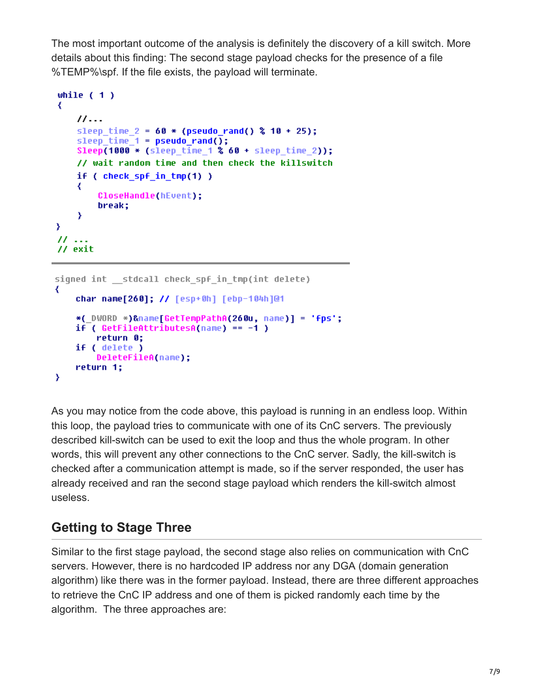The most important outcome of the analysis is definitely the discovery of a kill switch. More details about this finding: The second stage payload checks for the presence of a file %TEMP%\spf. If the file exists, the payload will terminate.

```
while (1)₹
   11...sleep time 2 = 60 * (pseudo rand() % 10 + 25);sleep time 1 = pseudo rand();
   Sleep(1000 * (sleep time 1 % 60 + 5 = 2));
   // wait random time and then check the killswitch
   if (check_spf_in Imp(1))₹
       CloseHandle(hEvent);
       break;
    Y
Y
11 . . .
// exit
```

```
signed int stdcall check spf in tmp(int delete)
₹
   char name[260]; // [esp+0h] [ebp-104h]@1
   *( DWORD *)&name[GetTempPathA(260u, name)] = 'fps';
   if ( GetFileAttributeSA(name) == -1 )
        return 0;
   if ( delete )
        DeleteFileA(name);
   return 1;
Y
```
As you may notice from the code above, this payload is running in an endless loop. Within this loop, the payload tries to communicate with one of its CnC servers. The previously described kill-switch can be used to exit the loop and thus the whole program. In other words, this will prevent any other connections to the CnC server. Sadly, the kill-switch is checked after a communication attempt is made, so if the server responded, the user has already received and ran the second stage payload which renders the kill-switch almost useless.

## **Getting to Stage Three**

Similar to the first stage payload, the second stage also relies on communication with CnC servers. However, there is no hardcoded IP address nor any DGA (domain generation algorithm) like there was in the former payload. Instead, there are three different approaches to retrieve the CnC IP address and one of them is picked randomly each time by the algorithm. The three approaches are: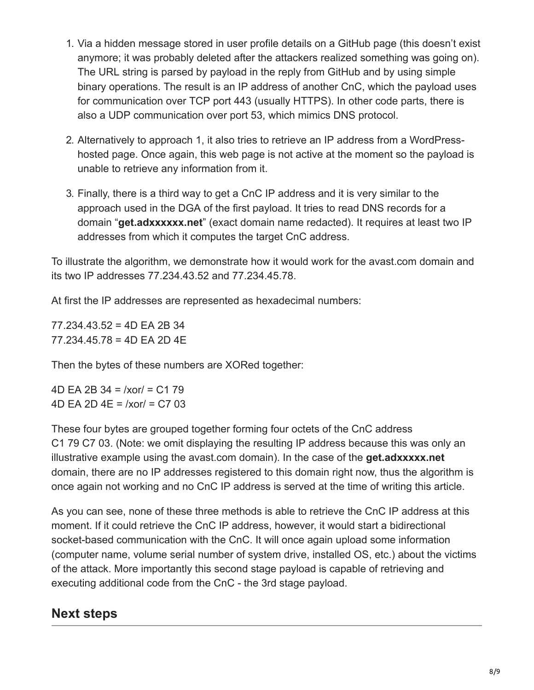- 1. Via a hidden message stored in user profile details on a GitHub page (this doesn't exist anymore; it was probably deleted after the attackers realized something was going on). The URL string is parsed by payload in the reply from GitHub and by using simple binary operations. The result is an IP address of another CnC, which the payload uses for communication over TCP port 443 (usually HTTPS). In other code parts, there is also a UDP communication over port 53, which mimics DNS protocol.
- 2. Alternatively to approach 1, it also tries to retrieve an IP address from a WordPresshosted page. Once again, this web page is not active at the moment so the payload is unable to retrieve any information from it.
- 3. Finally, there is a third way to get a CnC IP address and it is very similar to the approach used in the DGA of the first payload. It tries to read DNS records for a domain "**get.adxxxxxx.net**" (exact domain name redacted). It requires at least two IP addresses from which it computes the target CnC address.

To illustrate the algorithm, we demonstrate how it would work for the avast.com domain and its two IP addresses 77.234.43.52 and 77.234.45.78.

At first the IP addresses are represented as hexadecimal numbers:

77.234.43.52 = 4D EA 2B 34 77.234.45.78 = 4D EA 2D 4E

Then the bytes of these numbers are XORed together:

4D EA 2B 34 = /xor/ = C1 79 4D EA 2D 4E = /xor/ = C7 03

These four bytes are grouped together forming four octets of the CnC address C1 79 C7 03. (Note: we omit displaying the resulting IP address because this was only an illustrative example using the avast.com domain). In the case of the **get.adxxxxx.net** domain, there are no IP addresses registered to this domain right now, thus the algorithm is once again not working and no CnC IP address is served at the time of writing this article.

As you can see, none of these three methods is able to retrieve the CnC IP address at this moment. If it could retrieve the CnC IP address, however, it would start a bidirectional socket-based communication with the CnC. It will once again upload some information (computer name, volume serial number of system drive, installed OS, etc.) about the victims of the attack. More importantly this second stage payload is capable of retrieving and executing additional code from the CnC - the 3rd stage payload.

### **Next steps**